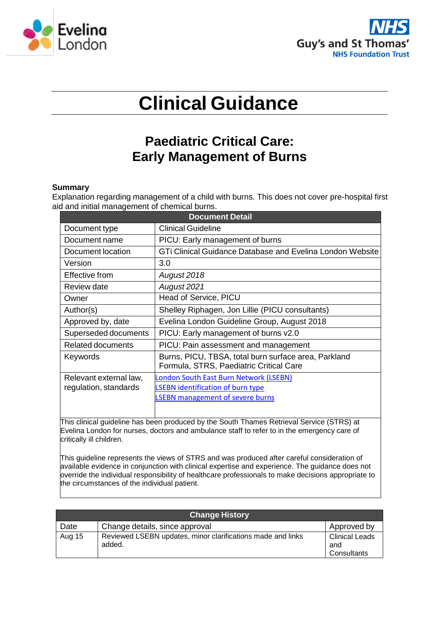



# **Clinical Guidance**

## **Paediatric Critical Care: Early Management of Burns**

#### **Summary**

Explanation regarding management of a child with burns. This does not cover pre-hospital first aid and initial management of chemical burns.

| <b>Document Detail</b>                          |                                                                                                 |  |
|-------------------------------------------------|-------------------------------------------------------------------------------------------------|--|
| Document type                                   | <b>Clinical Guideline</b>                                                                       |  |
| Document name                                   | PICU: Early management of burns                                                                 |  |
| Document location                               | GTi Clinical Guidance Database and Evelina London Website                                       |  |
| Version                                         | 3.0                                                                                             |  |
| Effective from                                  | August 2018                                                                                     |  |
| Review date                                     | August 2021                                                                                     |  |
| Owner                                           | <b>Head of Service, PICU</b>                                                                    |  |
| Author(s)                                       | Shelley Riphagen, Jon Lillie (PICU consultants)                                                 |  |
| Approved by, date                               | Evelina London Guideline Group, August 2018                                                     |  |
| Superseded documents                            | PICU: Early management of burns v2.0                                                            |  |
| Related documents                               | PICU: Pain assessment and management                                                            |  |
| Keywords                                        | Burns, PICU, TBSA, total burn surface area, Parkland<br>Formula, STRS, Paediatric Critical Care |  |
| Relevant external law,<br>regulation, standards | London South East Burn Network (LSEBN)<br><b>LSEBN identification of burn type</b>              |  |
|                                                 | <b>LSEBN management of severe burns</b>                                                         |  |

This clinical guideline has been produced by the South Thames Retrieval Service (STRS) at Evelina London for nurses, doctors and ambulance staff to refer to in the emergency care of critically ill children.

This guideline represents the views of STRS and was produced after careful consideration of available evidence in conjunction with clinical expertise and experience. The guidance does not override the individual responsibility of healthcare professionals to make decisions appropriate to the circumstances of the individual patient.

| <b>Change History</b> |                                                                       |                                             |  |
|-----------------------|-----------------------------------------------------------------------|---------------------------------------------|--|
| Date                  | Change details, since approval                                        | Approved by                                 |  |
| Aug 15                | Reviewed LSEBN updates, minor clarifications made and links<br>added. | <b>Clinical Leads</b><br>and<br>Consultants |  |